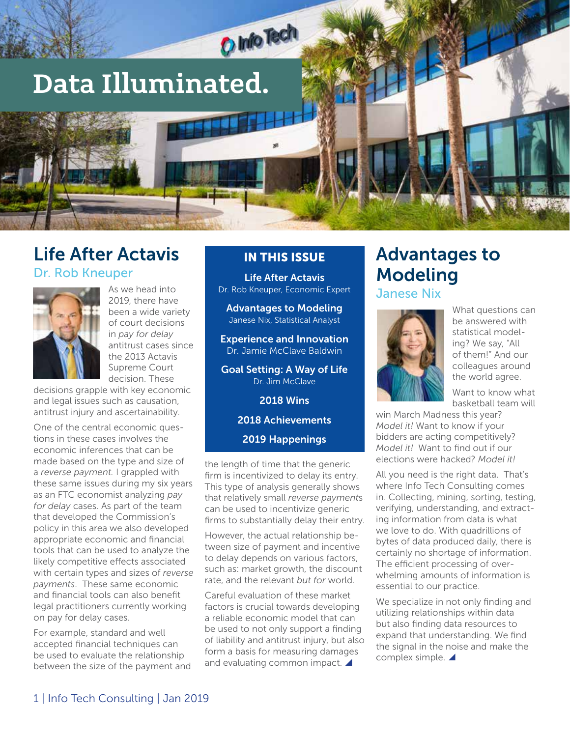

## Life After Actavis

Dr. Rob Kneuper



As we head into 2019 there have been a wide variety of court decisions in *pay for delay*  antitrust cases since the 2013 Actavis Supreme Court decision. These

decisions grapple with key economic and legal issues such as causation, antitrust injury and ascertainability.

One of the central economic questions in these cases involves the economic inferences that can be made based on the type and size of a *reverse payment.* I grappled with these same issues during my six years as an FTC economist analyzing *pay for delay* cases. As part of the team that developed the Commission's policy in this area we also developed appropriate economic and financial tools that can be used to analyze the likely competitive effects associated with certain types and sizes of *reverse payments*. These same economic and financial tools can also benefit legal practitioners currently working on pay for delay cases.

For example, standard and well accepted financial techniques can be used to evaluate the relationship between the size of the payment and

#### IN THIS ISSUE

Life After Actavis Dr. Rob Kneuper, Economic Expert

Advantages to Modeling Janese Nix, Statistical Analyst

Experience and Innovation Dr. Jamie McClave Baldwin

Goal Setting: A Way of Life Dr. Jim McClave

2018 Wins

2018 Achievements

2019 Happenings

the length of time that the generic firm is incentivized to delay its entry. This type of analysis generally shows that relatively small *reverse payment*s can be used to incentivize generic firms to substantially delay their entry.

However, the actual relationship between size of payment and incentive to delay depends on various factors, such as: market growth, the discount rate, and the relevant *but for* world.

Careful evaluation of these market factors is crucial towards developing a reliable economic model that can be used to not only support a finding of liability and antitrust injury, but also form a basis for measuring damages and evaluating common impact.  $\blacktriangle$ 

## Advantages to Modeling

Janese Nix



What questions can be answered with statistical modeling? We say, "All of them!" And our colleagues around the world agree.

Want to know what basketball team will

win March Madness this year? *Model it!* Want to know if your bidders are acting competitively? *Model it!* Want to find out if our elections were hacked? *Model it!* 

All you need is the right data. That's where Info Tech Consulting comes in. Collecting, mining, sorting, testing, verifying, understanding, and extracting information from data is what we love to do. With quadrillions of bytes of data produced daily, there is certainly no shortage of information. The efficient processing of overwhelming amounts of information is essential to our practice.

We specialize in not only finding and utilizing relationships within data but also finding data resources to expand that understanding. We find the signal in the noise and make the complex simple.  $\blacktriangle$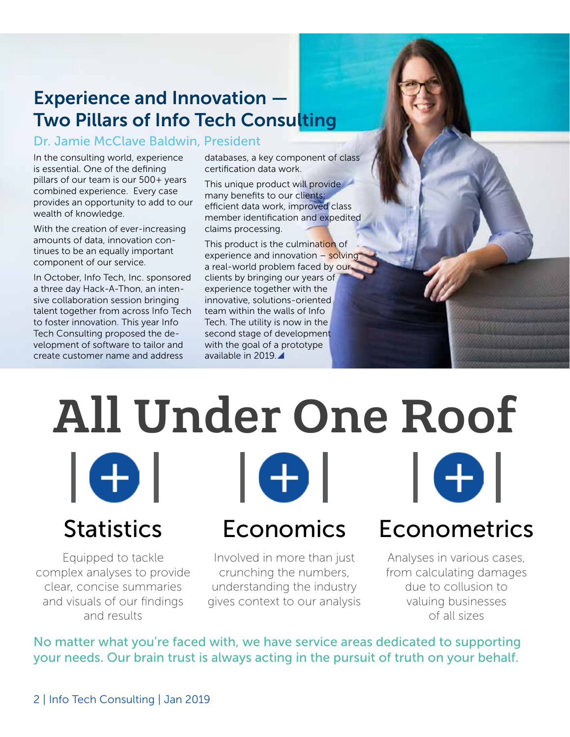## Experience and Innovation — Two Pillars of Info Tech Consulting

#### Dr. Jamie McClave Baldwin, President

In the consulting world, experience is essential. One of the defining pillars of our team is our 500+ years combined experience. Every case provides an opportunity to add to our wealth of knowledge.

With the creation of ever-increasing amounts of data, innovation continues to be an equally important component of our service.

In October, Info Tech, Inc. sponsored a three day Hack-A-Thon, an intensive collaboration session bringing talent together from across Info Tech to foster innovation. This year Info Tech Consulting proposed the development of software to tailor and create customer name and address

databases, a key component of class certification data work.

This unique product will provide many benefits to our clients; efficient data work, improved class member identification and expedited claims processing.

This product is the culmination of experience and innovation - solving a real-world problem faced by our clients by bringing our years of experience together with the innovative, solutions-oriented team within the walls of Info Tech. The utility is now in the second stage of development with the goal of a prototype available in 2019.

## All Under One Roof I O I I O I I OI

Equipped to tackle complex analyses to provide clear, concise summaries and visuals of our findings and results

Involved in more than just crunching the numbers, understanding the industry gives context to our analysis

Statistics Economics Econometrics

Analyses in various cases, from calculating damages due to collusion to valuing businesses of all sizes

No matter what you're faced with, we have service areas dedicated to supporting your needs. Our brain trust is always acting in the pursuit of truth on your behalf.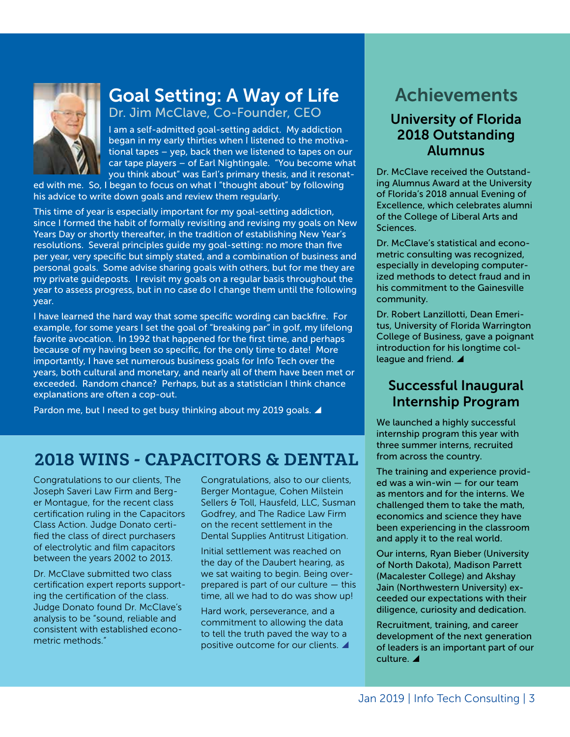

## Goal Setting: A Way of Life

Dr. Jim McClave, Co-Founder, CEO

I am a self-admitted goal-setting addict. My addiction began in my early thirties when I listened to the motivational tapes – yep, back then we listened to tapes on our car tape players – of Earl Nightingale. "You become what you think about" was Earl's primary thesis, and it resonat-

ed with me. So, I began to focus on what I "thought about" by following his advice to write down goals and review them regularly.

This time of year is especially important for my goal-setting addiction, since I formed the habit of formally revisiting and revising my goals on New Years Day or shortly thereafter, in the tradition of establishing New Year's resolutions. Several principles guide my goal-setting: no more than five per year, very specific but simply stated, and a combination of business and personal goals. Some advise sharing goals with others, but for me they are my private guideposts. I revisit my goals on a regular basis throughout the year to assess progress, but in no case do I change them until the following year.

I have learned the hard way that some specific wording can backfire. For example, for some years I set the goal of "breaking par" in golf, my lifelong favorite avocation. In 1992 that happened for the first time, and perhaps because of my having been so specific, for the only time to date! More importantly, I have set numerous business goals for Info Tech over the years, both cultural and monetary, and nearly all of them have been met or exceeded. Random chance? Perhaps, but as a statistician I think chance explanations are often a cop-out.

Pardon me, but I need to get busy thinking about my 2019 goals.  $\blacktriangle$ 

## 2018 WINS - CAPACITORS & DENTAL

Congratulations to our clients, The Joseph Saveri Law Firm and Berger Montague, for the recent class certification ruling in the Capacitors Class Action. Judge Donato certified the class of direct purchasers of electrolytic and film capacitors between the years 2002 to 2013.

Dr. McClave submitted two class certification expert reports supporting the certification of the class. Judge Donato found Dr. McClave's analysis to be "sound, reliable and consistent with established econometric methods."

Congratulations, also to our clients, Berger Montague, Cohen Milstein Sellers & Toll, Hausfeld, LLC, Susman Godfrey, and The Radice Law Firm on the recent settlement in the Dental Supplies Antitrust Litigation.

Initial settlement was reached on the day of the Daubert hearing, as we sat waiting to begin. Being overprepared is part of our culture — this time, all we had to do was show up!

Hard work, perseverance, and a commitment to allowing the data to tell the truth paved the way to a positive outcome for our clients.

## Achievements

### University of Florida 2018 Outstanding Alumnus

Dr. McClave received the Outstanding Alumnus Award at the University of Florida's 2018 annual Evening of Excellence, which celebrates alumni of the College of Liberal Arts and Sciences.

Dr. McClave's statistical and econometric consulting was recognized, especially in developing computerized methods to detect fraud and in his commitment to the Gainesville community.

Dr. Robert Lanzillotti, Dean Emeritus, University of Florida Warrington College of Business, gave a poignant introduction for his longtime colleague and friend.  $\blacktriangle$ 

### Successful Inaugural Internship Program

We launched a highly successful internship program this year with three summer interns, recruited from across the country.

The training and experience provided was a win-win — for our team as mentors and for the interns. We challenged them to take the math, economics and science they have been experiencing in the classroom and apply it to the real world.

Our interns, Ryan Bieber (University of North Dakota), Madison Parrett (Macalester College) and Akshay Jain (Northwestern University) exceeded our expectations with their diligence, curiosity and dedication.

Recruitment, training, and career development of the next generation of leaders is an important part of our culture.  $\blacktriangle$